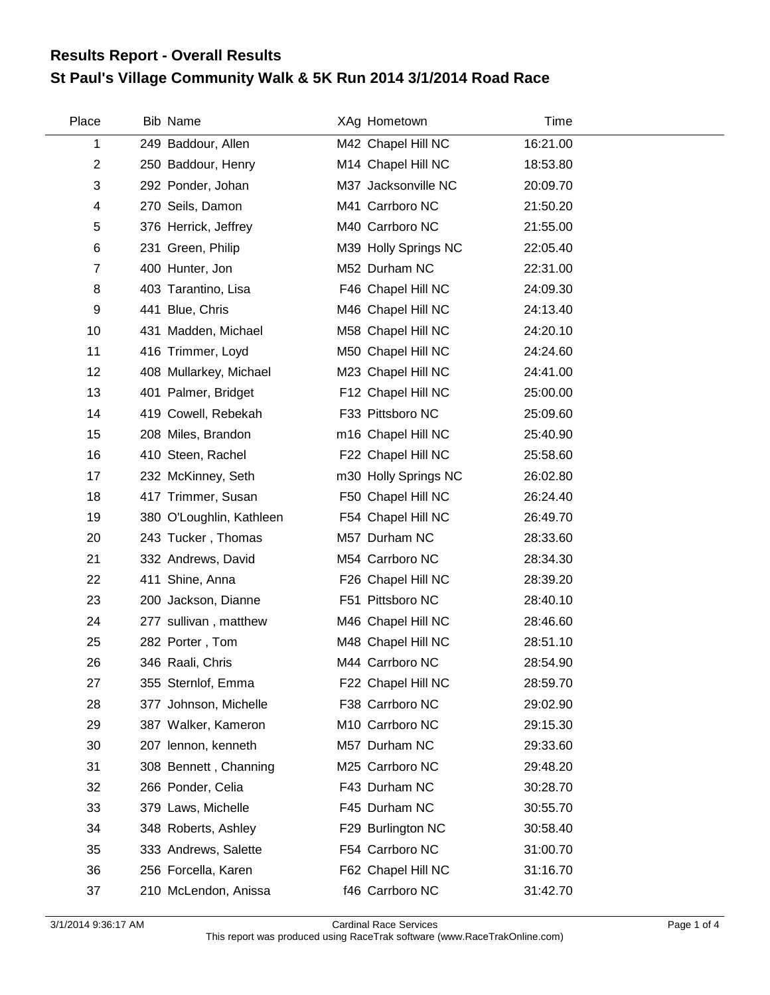## **St Paul's Village Community Walk & 5K Run 2014 3/1/2014 Road Race Results Report - Overall Results**

| Place           | <b>Bib Name</b>          | XAg Hometown         | Time     |
|-----------------|--------------------------|----------------------|----------|
| 1               | 249 Baddour, Allen       | M42 Chapel Hill NC   | 16:21.00 |
| $\overline{2}$  | 250 Baddour, Henry       | M14 Chapel Hill NC   | 18:53.80 |
| 3               | 292 Ponder, Johan        | M37 Jacksonville NC  | 20:09.70 |
| 4               | 270 Seils, Damon         | M41 Carrboro NC      | 21:50.20 |
| 5               | 376 Herrick, Jeffrey     | M40 Carrboro NC      | 21:55.00 |
| 6               | 231 Green, Philip        | M39 Holly Springs NC | 22:05.40 |
| $\overline{7}$  | 400 Hunter, Jon          | M52 Durham NC        | 22:31.00 |
| 8               | 403 Tarantino, Lisa      | F46 Chapel Hill NC   | 24:09.30 |
| 9               | 441 Blue, Chris          | M46 Chapel Hill NC   | 24:13.40 |
| 10              | 431 Madden, Michael      | M58 Chapel Hill NC   | 24:20.10 |
| 11              | 416 Trimmer, Loyd        | M50 Chapel Hill NC   | 24:24.60 |
| 12 <sup>2</sup> | 408 Mullarkey, Michael   | M23 Chapel Hill NC   | 24:41.00 |
| 13              | 401 Palmer, Bridget      | F12 Chapel Hill NC   | 25:00.00 |
| 14              | 419 Cowell, Rebekah      | F33 Pittsboro NC     | 25:09.60 |
| 15              | 208 Miles, Brandon       | m16 Chapel Hill NC   | 25:40.90 |
| 16              | 410 Steen, Rachel        | F22 Chapel Hill NC   | 25:58.60 |
| 17              | 232 McKinney, Seth       | m30 Holly Springs NC | 26:02.80 |
| 18              | 417 Trimmer, Susan       | F50 Chapel Hill NC   | 26:24.40 |
| 19              | 380 O'Loughlin, Kathleen | F54 Chapel Hill NC   | 26:49.70 |
| 20              | 243 Tucker, Thomas       | M57 Durham NC        | 28:33.60 |
| 21              | 332 Andrews, David       | M54 Carrboro NC      | 28:34.30 |
| 22              | 411 Shine, Anna          | F26 Chapel Hill NC   | 28:39.20 |
| 23              | 200 Jackson, Dianne      | F51 Pittsboro NC     | 28:40.10 |
| 24              | 277 sullivan, matthew    | M46 Chapel Hill NC   | 28:46.60 |
| 25              | 282 Porter, Tom          | M48 Chapel Hill NC   | 28:51.10 |
| 26              | 346 Raali, Chris         | M44 Carrboro NC      | 28:54.90 |
| 27              | 355 Sternlof, Emma       | F22 Chapel Hill NC   | 28:59.70 |
| 28              | 377 Johnson, Michelle    | F38 Carrboro NC      | 29:02.90 |
| 29              | 387 Walker, Kameron      | M10 Carrboro NC      | 29:15.30 |
| 30              | 207 lennon, kenneth      | M57 Durham NC        | 29:33.60 |
| 31              | 308 Bennett, Channing    | M25 Carrboro NC      | 29:48.20 |
| 32              | 266 Ponder, Celia        | F43 Durham NC        | 30:28.70 |
| 33              | 379 Laws, Michelle       | F45 Durham NC        | 30:55.70 |
| 34              | 348 Roberts, Ashley      | F29 Burlington NC    | 30:58.40 |
| 35              | 333 Andrews, Salette     | F54 Carrboro NC      | 31:00.70 |
| 36              | 256 Forcella, Karen      | F62 Chapel Hill NC   | 31:16.70 |
| 37              | 210 McLendon, Anissa     | f46 Carrboro NC      | 31:42.70 |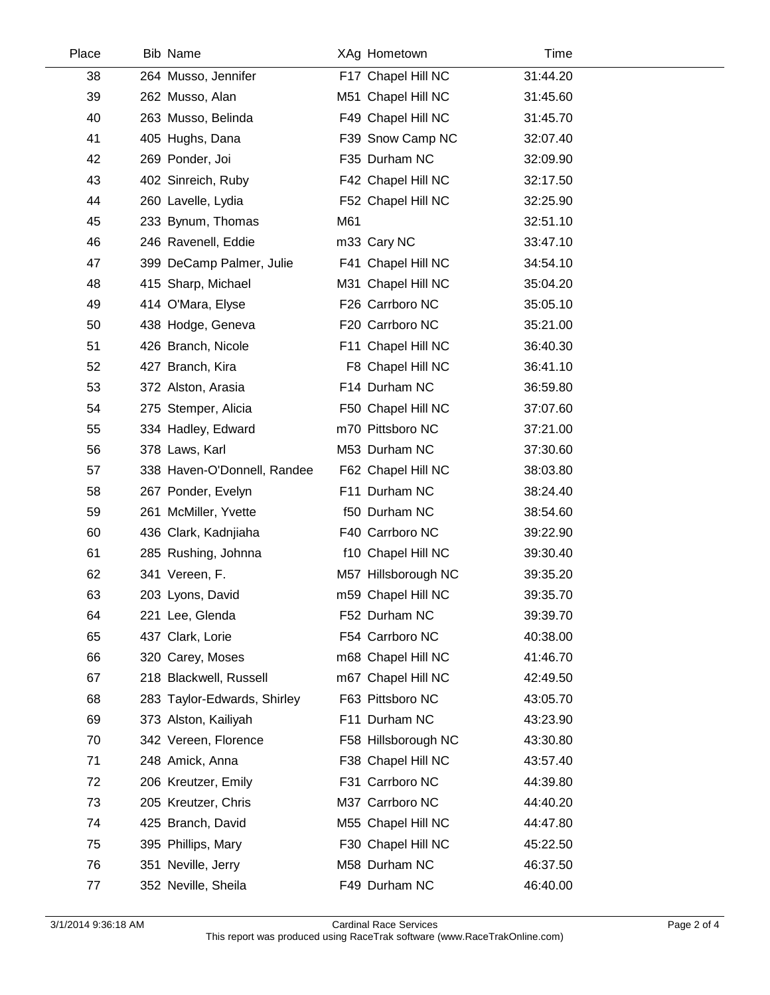| Place | <b>Bib Name</b>             |     | XAg Hometown        | Time     |  |
|-------|-----------------------------|-----|---------------------|----------|--|
| 38    | 264 Musso, Jennifer         |     | F17 Chapel Hill NC  | 31:44.20 |  |
| 39    | 262 Musso, Alan             |     | M51 Chapel Hill NC  | 31:45.60 |  |
| 40    | 263 Musso, Belinda          |     | F49 Chapel Hill NC  | 31:45.70 |  |
| 41    | 405 Hughs, Dana             |     | F39 Snow Camp NC    | 32:07.40 |  |
| 42    | 269 Ponder, Joi             |     | F35 Durham NC       | 32:09.90 |  |
| 43    | 402 Sinreich, Ruby          |     | F42 Chapel Hill NC  | 32:17.50 |  |
| 44    | 260 Lavelle, Lydia          |     | F52 Chapel Hill NC  | 32:25.90 |  |
| 45    | 233 Bynum, Thomas           | M61 |                     | 32:51.10 |  |
| 46    | 246 Ravenell, Eddie         |     | m33 Cary NC         | 33:47.10 |  |
| 47    | 399 DeCamp Palmer, Julie    |     | F41 Chapel Hill NC  | 34:54.10 |  |
| 48    | 415 Sharp, Michael          |     | M31 Chapel Hill NC  | 35:04.20 |  |
| 49    | 414 O'Mara, Elyse           |     | F26 Carrboro NC     | 35:05.10 |  |
| 50    | 438 Hodge, Geneva           |     | F20 Carrboro NC     | 35:21.00 |  |
| 51    | 426 Branch, Nicole          |     | F11 Chapel Hill NC  | 36:40.30 |  |
| 52    | 427 Branch, Kira            |     | F8 Chapel Hill NC   | 36:41.10 |  |
| 53    | 372 Alston, Arasia          |     | F14 Durham NC       | 36:59.80 |  |
| 54    | 275 Stemper, Alicia         |     | F50 Chapel Hill NC  | 37:07.60 |  |
| 55    | 334 Hadley, Edward          |     | m70 Pittsboro NC    | 37:21.00 |  |
| 56    | 378 Laws, Karl              |     | M53 Durham NC       | 37:30.60 |  |
| 57    | 338 Haven-O'Donnell, Randee |     | F62 Chapel Hill NC  | 38:03.80 |  |
| 58    | 267 Ponder, Evelyn          |     | F11 Durham NC       | 38:24.40 |  |
| 59    | 261 McMiller, Yvette        |     | f50 Durham NC       | 38:54.60 |  |
| 60    | 436 Clark, Kadnjiaha        |     | F40 Carrboro NC     | 39:22.90 |  |
| 61    | 285 Rushing, Johnna         |     | f10 Chapel Hill NC  | 39:30.40 |  |
| 62    | 341 Vereen, F.              |     | M57 Hillsborough NC | 39:35.20 |  |
| 63    | 203 Lyons, David            |     | m59 Chapel Hill NC  | 39:35.70 |  |
| 64    | 221 Lee, Glenda             |     | F52 Durham NC       | 39:39.70 |  |
| 65    | 437 Clark, Lorie            |     | F54 Carrboro NC     | 40:38.00 |  |
| 66    | 320 Carey, Moses            |     | m68 Chapel Hill NC  | 41:46.70 |  |
| 67    | 218 Blackwell, Russell      |     | m67 Chapel Hill NC  | 42:49.50 |  |
| 68    | 283 Taylor-Edwards, Shirley |     | F63 Pittsboro NC    | 43:05.70 |  |
| 69    | 373 Alston, Kailiyah        |     | F11 Durham NC       | 43:23.90 |  |
| 70    | 342 Vereen, Florence        |     | F58 Hillsborough NC | 43:30.80 |  |
| 71    | 248 Amick, Anna             |     | F38 Chapel Hill NC  | 43:57.40 |  |
| 72    | 206 Kreutzer, Emily         |     | F31 Carrboro NC     | 44:39.80 |  |
| 73    | 205 Kreutzer, Chris         |     | M37 Carrboro NC     | 44:40.20 |  |
| 74    | 425 Branch, David           |     | M55 Chapel Hill NC  | 44:47.80 |  |
| 75    | 395 Phillips, Mary          |     | F30 Chapel Hill NC  | 45:22.50 |  |
| 76    | 351 Neville, Jerry          |     | M58 Durham NC       | 46:37.50 |  |
| 77    | 352 Neville, Sheila         |     | F49 Durham NC       | 46:40.00 |  |
|       |                             |     |                     |          |  |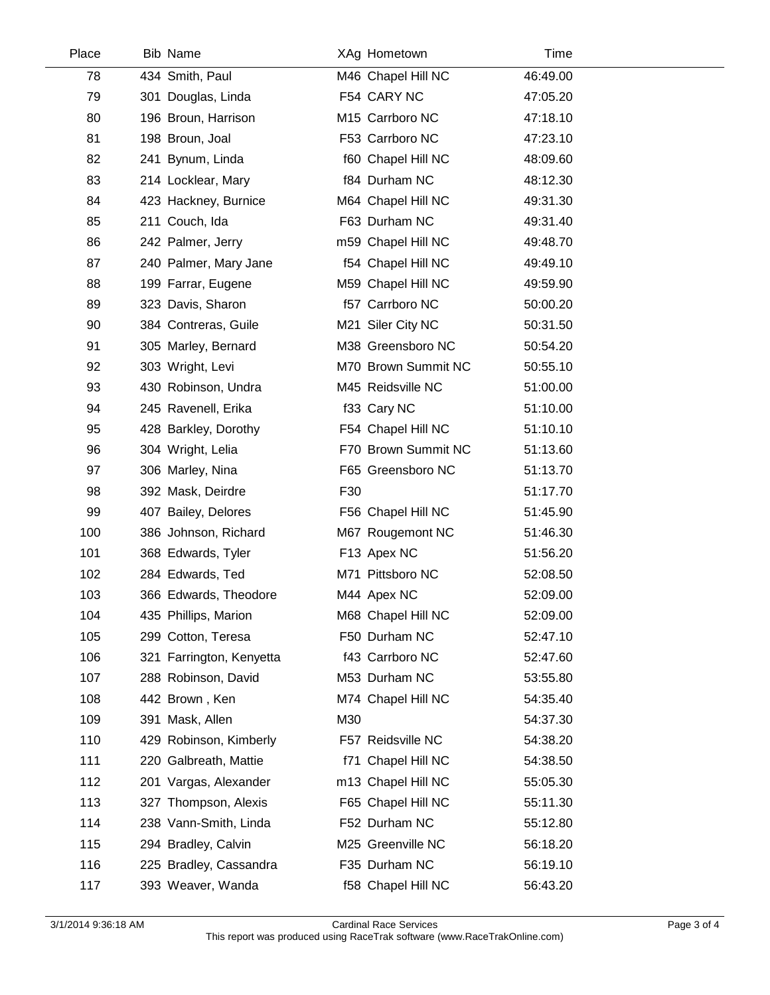| Place | <b>Bib Name</b>          | XAg Hometown        | Time     |  |
|-------|--------------------------|---------------------|----------|--|
| 78    | 434 Smith, Paul          | M46 Chapel Hill NC  | 46:49.00 |  |
| 79    | 301 Douglas, Linda       | F54 CARY NC         | 47:05.20 |  |
| 80    | 196 Broun, Harrison      | M15 Carrboro NC     | 47:18.10 |  |
| 81    | 198 Broun, Joal          | F53 Carrboro NC     | 47:23.10 |  |
| 82    | 241 Bynum, Linda         | f60 Chapel Hill NC  | 48:09.60 |  |
| 83    | 214 Locklear, Mary       | f84 Durham NC       | 48:12.30 |  |
| 84    | 423 Hackney, Burnice     | M64 Chapel Hill NC  | 49:31.30 |  |
| 85    | 211 Couch, Ida           | F63 Durham NC       | 49:31.40 |  |
| 86    | 242 Palmer, Jerry        | m59 Chapel Hill NC  | 49:48.70 |  |
| 87    | 240 Palmer, Mary Jane    | f54 Chapel Hill NC  | 49:49.10 |  |
| 88    | 199 Farrar, Eugene       | M59 Chapel Hill NC  | 49:59.90 |  |
| 89    | 323 Davis, Sharon        | f57 Carrboro NC     | 50:00.20 |  |
| 90    | 384 Contreras, Guile     | M21 Siler City NC   | 50:31.50 |  |
| 91    | 305 Marley, Bernard      | M38 Greensboro NC   | 50:54.20 |  |
| 92    | 303 Wright, Levi         | M70 Brown Summit NC | 50:55.10 |  |
| 93    | 430 Robinson, Undra      | M45 Reidsville NC   | 51:00.00 |  |
| 94    | 245 Ravenell, Erika      | f33 Cary NC         | 51:10.00 |  |
| 95    | 428 Barkley, Dorothy     | F54 Chapel Hill NC  | 51:10.10 |  |
| 96    | 304 Wright, Lelia        | F70 Brown Summit NC | 51:13.60 |  |
| 97    | 306 Marley, Nina         | F65 Greensboro NC   | 51:13.70 |  |
| 98    | 392 Mask, Deirdre        | F30                 | 51:17.70 |  |
| 99    | 407 Bailey, Delores      | F56 Chapel Hill NC  | 51:45.90 |  |
| 100   | 386 Johnson, Richard     | M67 Rougemont NC    | 51:46.30 |  |
| 101   | 368 Edwards, Tyler       | F13 Apex NC         | 51:56.20 |  |
| 102   | 284 Edwards, Ted         | M71 Pittsboro NC    | 52:08.50 |  |
| 103   | 366 Edwards, Theodore    | M44 Apex NC         | 52:09.00 |  |
| 104   | 435 Phillips, Marion     | M68 Chapel Hill NC  | 52:09.00 |  |
| 105   | 299 Cotton, Teresa       | F50 Durham NC       | 52:47.10 |  |
| 106   | 321 Farrington, Kenyetta | f43 Carrboro NC     | 52:47.60 |  |
| 107   | 288 Robinson, David      | M53 Durham NC       | 53:55.80 |  |
| 108   | 442 Brown, Ken           | M74 Chapel Hill NC  | 54:35.40 |  |
| 109   | 391 Mask, Allen          | M30                 | 54:37.30 |  |
| 110   | 429 Robinson, Kimberly   | F57 Reidsville NC   | 54:38.20 |  |
| 111   | 220 Galbreath, Mattie    | f71 Chapel Hill NC  | 54:38.50 |  |
| 112   | 201 Vargas, Alexander    | m13 Chapel Hill NC  | 55:05.30 |  |
| 113   | 327 Thompson, Alexis     | F65 Chapel Hill NC  | 55:11.30 |  |
| 114   | 238 Vann-Smith, Linda    | F52 Durham NC       | 55:12.80 |  |
| 115   | 294 Bradley, Calvin      | M25 Greenville NC   | 56:18.20 |  |
| 116   | 225 Bradley, Cassandra   | F35 Durham NC       | 56:19.10 |  |
| 117   | 393 Weaver, Wanda        | f58 Chapel Hill NC  | 56:43.20 |  |
|       |                          |                     |          |  |